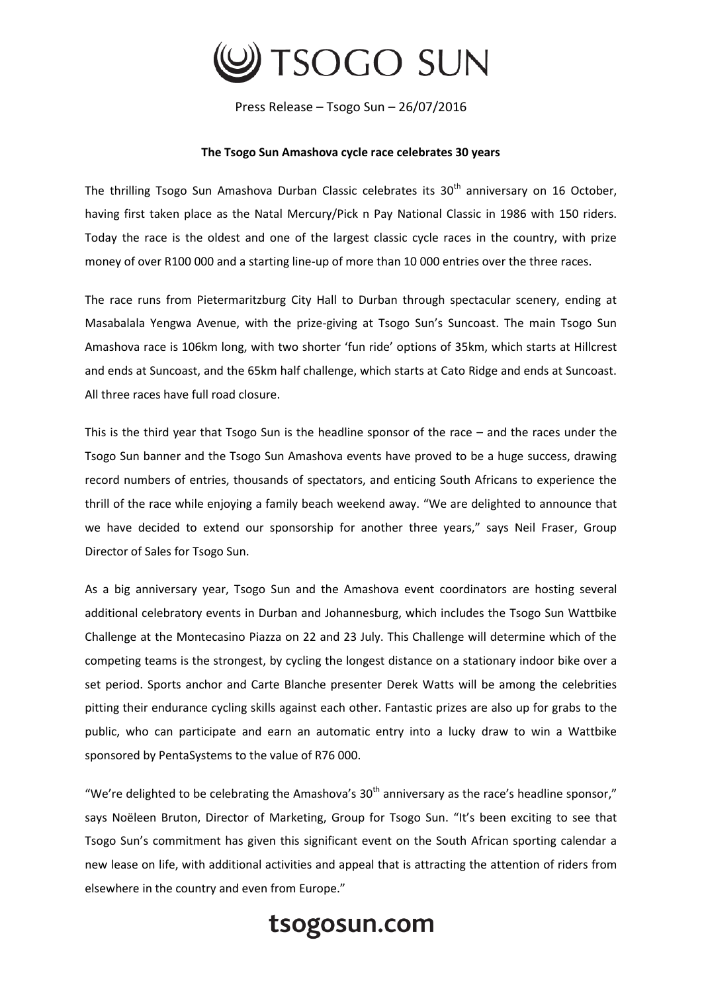

Press Release – Tsogo Sun – 26/07/2016

## **The Tsogo Sun Amashova cycle race celebrates 30 years**

The thrilling Tsogo Sun Amashova Durban Classic celebrates its  $30<sup>th</sup>$  anniversary on 16 October, having first taken place as the Natal Mercury/Pick n Pay National Classic in 1986 with 150 riders. Today the race is the oldest and one of the largest classic cycle races in the country, with prize money of over R100 000 and a starting line-up of more than 10 000 entries over the three races.

The race runs from Pietermaritzburg City Hall to Durban through spectacular scenery, ending at Masabalala Yengwa Avenue, with the prize-giving at Tsogo Sun's Suncoast. The main Tsogo Sun Amashova race is 106km long, with two shorter 'fun ride' options of 35km, which starts at Hillcrest and ends at Suncoast, and the 65km half challenge, which starts at Cato Ridge and ends at Suncoast. All three races have full road closure.

This is the third year that Tsogo Sun is the headline sponsor of the race – and the races under the Tsogo Sun banner and the Tsogo Sun Amashova events have proved to be a huge success, drawing record numbers of entries, thousands of spectators, and enticing South Africans to experience the thrill of the race while enjoying a family beach weekend away. "We are delighted to announce that we have decided to extend our sponsorship for another three years," says Neil Fraser, Group Director of Sales for Tsogo Sun.

As a big anniversary year, Tsogo Sun and the Amashova event coordinators are hosting several additional celebratory events in Durban and Johannesburg, which includes the Tsogo Sun Wattbike Challenge at the Montecasino Piazza on 22 and 23 July. This Challenge will determine which of the competing teams is the strongest, by cycling the longest distance on a stationary indoor bike over a set period. Sports anchor and Carte Blanche presenter Derek Watts will be among the celebrities pitting their endurance cycling skills against each other. Fantastic prizes are also up for grabs to the public, who can participate and earn an automatic entry into a lucky draw to win a Wattbike sponsored by PentaSystems to the value of R76 000.

"We're delighted to be celebrating the Amashova's  $30<sup>th</sup>$  anniversary as the race's headline sponsor," says Noëleen Bruton, Director of Marketing, Group for Tsogo Sun. "It's been exciting to see that Tsogo Sun's commitment has given this significant event on the South African sporting calendar a new lease on life, with additional activities and appeal that is attracting the attention of riders from elsewhere in the country and even from Europe."

## tsogosun.com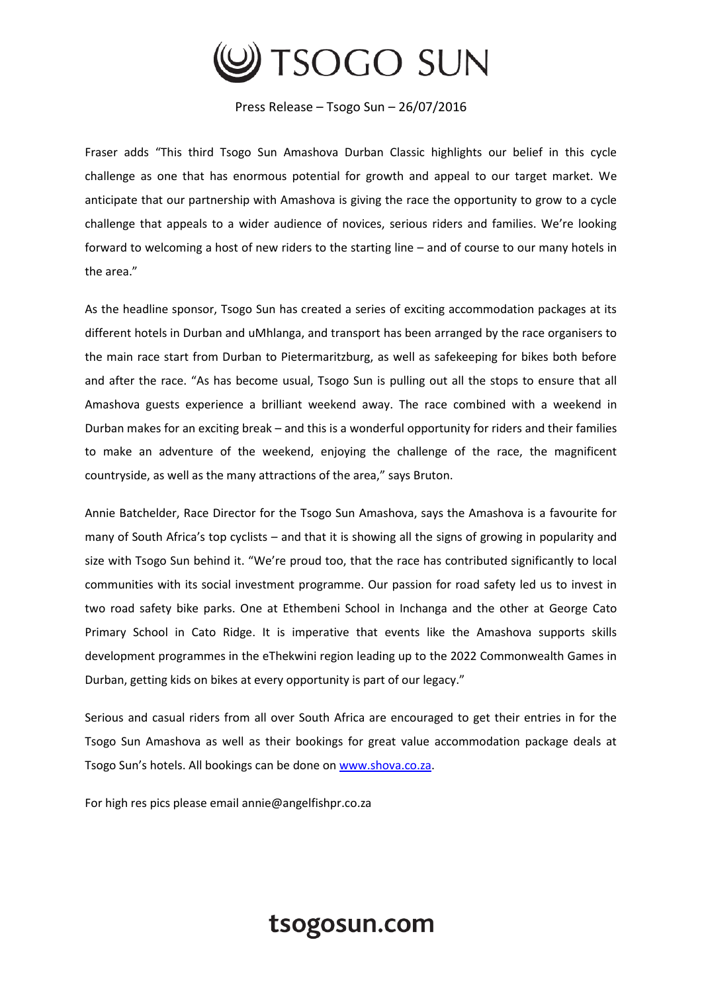

Press Release – Tsogo Sun – 26/07/2016

Fraser adds "This third Tsogo Sun Amashova Durban Classic highlights our belief in this cycle challenge as one that has enormous potential for growth and appeal to our target market. We anticipate that our partnership with Amashova is giving the race the opportunity to grow to a cycle challenge that appeals to a wider audience of novices, serious riders and families. We're looking forward to welcoming a host of new riders to the starting line – and of course to our many hotels in the area."

As the headline sponsor, Tsogo Sun has created a series of exciting accommodation packages at its different hotels in Durban and uMhlanga, and transport has been arranged by the race organisers to the main race start from Durban to Pietermaritzburg, as well as safekeeping for bikes both before and after the race. "As has become usual, Tsogo Sun is pulling out all the stops to ensure that all Amashova guests experience a brilliant weekend away. The race combined with a weekend in Durban makes for an exciting break – and this is a wonderful opportunity for riders and their families to make an adventure of the weekend, enjoying the challenge of the race, the magnificent countryside, as well as the many attractions of the area," says Bruton.

Annie Batchelder, Race Director for the Tsogo Sun Amashova, says the Amashova is a favourite for many of South Africa's top cyclists – and that it is showing all the signs of growing in popularity and size with Tsogo Sun behind it. "We're proud too, that the race has contributed significantly to local communities with its social investment programme. Our passion for road safety led us to invest in two road safety bike parks. One at Ethembeni School in Inchanga and the other at George Cato Primary School in Cato Ridge. It is imperative that events like the Amashova supports skills development programmes in the eThekwini region leading up to the 2022 Commonwealth Games in Durban, getting kids on bikes at every opportunity is part of our legacy."

Serious and casual riders from all over South Africa are encouraged to get their entries in for the Tsogo Sun Amashova as well as their bookings for great value accommodation package deals at Tsogo Sun's hotels. All bookings can be done on [www.shova.co.za.](http://www.shova.co.za/)

For high res pics please email annie@angelfishpr.co.za

## tsogosun.com